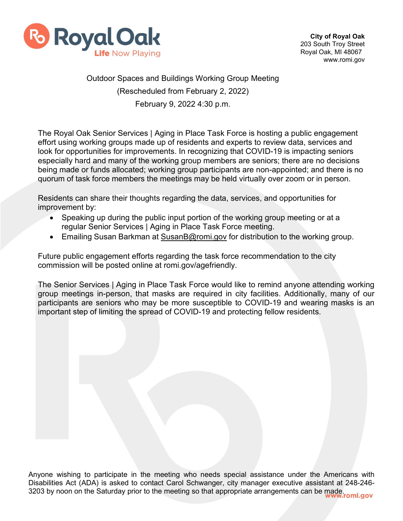

## Outdoor Spaces and Buildings Working Group Meeting (Rescheduled from February 2, 2022) February 9, 2022 4:30 p.m.

The Royal Oak Senior Services | Aging in Place Task Force is hosting a public engagement effort using working groups made up of residents and experts to review data, services and look for opportunities for improvements. In recognizing that COVID-19 is impacting seniors especially hard and many of the working group members are seniors; there are no decisions being made or funds allocated; working group participants are non-appointed; and there is no quorum of task force members the meetings may be held virtually over zoom or in person.

Residents can share their thoughts regarding the data, services, and opportunities for improvement by:

- Speaking up during the public input portion of the working group meeting or at a regular Senior Services | Aging in Place Task Force meeting.
- Emailing Susan Barkman at [SusanB@romi.gov](mailto:SusanB@romi.gov) for distribution to the working group.

Future public engagement efforts regarding the task force recommendation to the city commission will be posted online at romi.gov/agefriendly.

The Senior Services | Aging in Place Task Force would like to remind anyone attending working group meetings in-person, that masks are required in city facilities. Additionally, many of our participants are seniors who may be more susceptible to COVID-19 and wearing masks is an important step of limiting the spread of COVID-19 and protecting fellow residents.

Anyone wishing to participate in the meeting who needs special assistance under the Americans with Disabilities Act (ADA) is asked to contact Carol Schwanger, city manager executive assistant at 248-246- Biodomicod Act (ALCA) to active the Literatus meeting so that appropriate arrangements can be made.